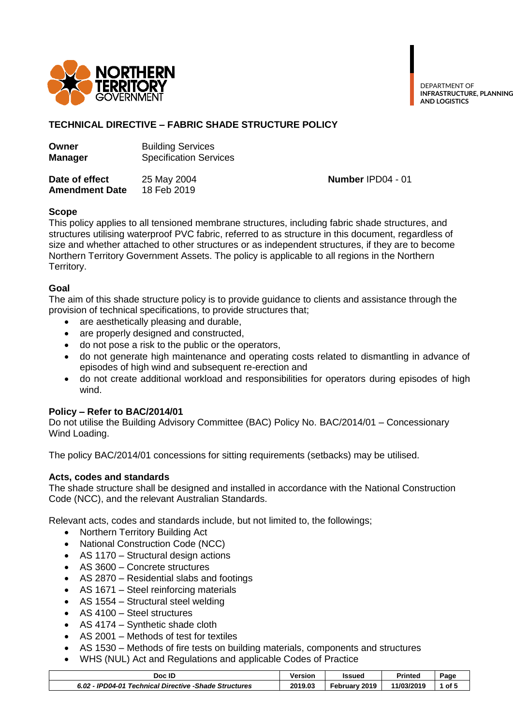

DEPARTMENT OF **INFRASTRUCTURE, PLANNING AND LOGISTICS**

# **TECHNICAL DIRECTIVE – FABRIC SHADE STRUCTURE POLICY**

| Owner          | <b>Building Services</b>      |
|----------------|-------------------------------|
| <b>Manager</b> | <b>Specification Services</b> |
| Data of offact | $25$ May 2004                 |

**Date of effect** 25 May 2004 **Number IPD04 - 01 Amendment Date** 18 Feb 2019

# **Scope**

This policy applies to all tensioned membrane structures, including fabric shade structures, and structures utilising waterproof PVC fabric, referred to as structure in this document, regardless of size and whether attached to other structures or as independent structures, if they are to become Northern Territory Government Assets. The policy is applicable to all regions in the Northern Territory.

# **Goal**

The aim of this shade structure policy is to provide guidance to clients and assistance through the provision of technical specifications, to provide structures that;

- are aesthetically pleasing and durable,
- are properly designed and constructed,
- do not pose a risk to the public or the operators,
- do not generate high maintenance and operating costs related to dismantling in advance of episodes of high wind and subsequent re-erection and
- do not create additional workload and responsibilities for operators during episodes of high wind.

# **Policy – Refer to BAC/2014/01**

Do not utilise the Building Advisory Committee (BAC) Policy No. BAC/2014/01 – Concessionary Wind Loading.

The policy BAC/2014/01 concessions for sitting requirements (setbacks) may be utilised.

# **Acts, codes and standards**

The shade structure shall be designed and installed in accordance with the National Construction Code (NCC), and the relevant Australian Standards.

Relevant acts, codes and standards include, but not limited to, the followings;

- Northern Territory Building Act
- National Construction Code (NCC)
- AS 1170 Structural design actions
- AS 3600 Concrete structures
- AS 2870 Residential slabs and footings
- AS 1671 Steel reinforcing materials
- AS 1554 Structural steel welding
- AS 4100 Steel structures
- AS 4174 Svnthetic shade cloth
- AS 2001 Methods of test for textiles
- AS 1530 Methods of fire tests on building materials, components and structures
- WHS (NUL) Act and Regulations and applicable Codes of Practice

| Doc ID                                                     | Version | Issued             | <b>Printed</b> | Page  |
|------------------------------------------------------------|---------|--------------------|----------------|-------|
| Technical Directive -Shade Structures `<br>6.02 - IPD04-01 | 2019.03 | 2019<br>February ' | 11/03/2019     | ืof 5 |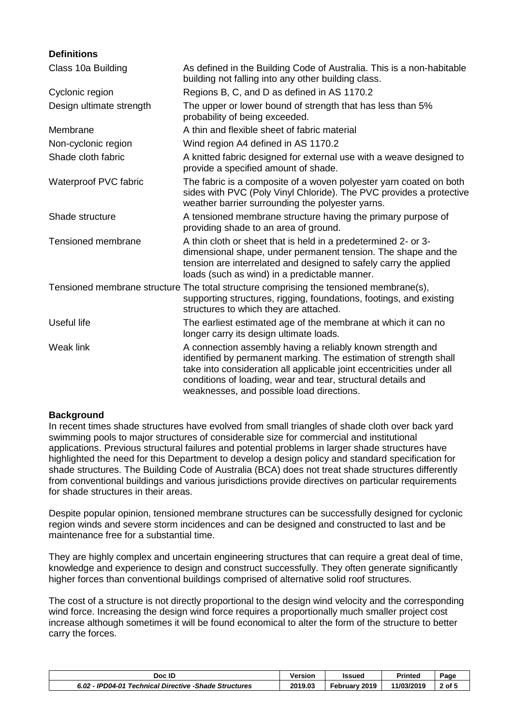| <b>Definitions</b>       |                                                                                                                                                                                                                                                                                                                       |
|--------------------------|-----------------------------------------------------------------------------------------------------------------------------------------------------------------------------------------------------------------------------------------------------------------------------------------------------------------------|
| Class 10a Building       | As defined in the Building Code of Australia. This is a non-habitable<br>building not falling into any other building class.                                                                                                                                                                                          |
| Cyclonic region          | Regions B, C, and D as defined in AS 1170.2                                                                                                                                                                                                                                                                           |
| Design ultimate strength | The upper or lower bound of strength that has less than 5%<br>probability of being exceeded.                                                                                                                                                                                                                          |
| Membrane                 | A thin and flexible sheet of fabric material                                                                                                                                                                                                                                                                          |
| Non-cyclonic region      | Wind region A4 defined in AS 1170.2                                                                                                                                                                                                                                                                                   |
| Shade cloth fabric       | A knitted fabric designed for external use with a weave designed to<br>provide a specified amount of shade.                                                                                                                                                                                                           |
| Waterproof PVC fabric    | The fabric is a composite of a woven polyester yarn coated on both<br>sides with PVC (Poly Vinyl Chloride). The PVC provides a protective<br>weather barrier surrounding the polyester yarns.                                                                                                                         |
| Shade structure          | A tensioned membrane structure having the primary purpose of<br>providing shade to an area of ground.                                                                                                                                                                                                                 |
| Tensioned membrane       | A thin cloth or sheet that is held in a predetermined 2- or 3-<br>dimensional shape, under permanent tension. The shape and the<br>tension are interrelated and designed to safely carry the applied<br>loads (such as wind) in a predictable manner.                                                                 |
|                          | Tensioned membrane structure The total structure comprising the tensioned membrane(s),<br>supporting structures, rigging, foundations, footings, and existing<br>structures to which they are attached.                                                                                                               |
| Useful life              | The earliest estimated age of the membrane at which it can no<br>longer carry its design ultimate loads.                                                                                                                                                                                                              |
| Weak link                | A connection assembly having a reliably known strength and<br>identified by permanent marking. The estimation of strength shall<br>take into consideration all applicable joint eccentricities under all<br>conditions of loading, wear and tear, structural details and<br>weaknesses, and possible load directions. |

# **Background**

In recent times shade structures have evolved from small triangles of shade cloth over back yard swimming pools to major structures of considerable size for commercial and institutional applications. Previous structural failures and potential problems in larger shade structures have highlighted the need for this Department to develop a design policy and standard specification for shade structures. The Building Code of Australia (BCA) does not treat shade structures differently from conventional buildings and various jurisdictions provide directives on particular requirements for shade structures in their areas.

Despite popular opinion, tensioned membrane structures can be successfully designed for cyclonic region winds and severe storm incidences and can be designed and constructed to last and be maintenance free for a substantial time.

They are highly complex and uncertain engineering structures that can require a great deal of time, knowledge and experience to design and construct successfully. They often generate significantly higher forces than conventional buildings comprised of alternative solid roof structures.

The cost of a structure is not directly proportional to the design wind velocity and the corresponding wind force. Increasing the design wind force requires a proportionally much smaller project cost increase although sometimes it will be found economical to alter the form of the structure to better carry the forces.

| Doc ID                                                 | Versior | Issued           | <b>Printed</b> | Page   |
|--------------------------------------------------------|---------|------------------|----------------|--------|
| 6.02 - IPD04-01 Technical Directive - Shade Structures | 2019.03 | 2019<br>Februarv | 11/03/2019     | $2$ of |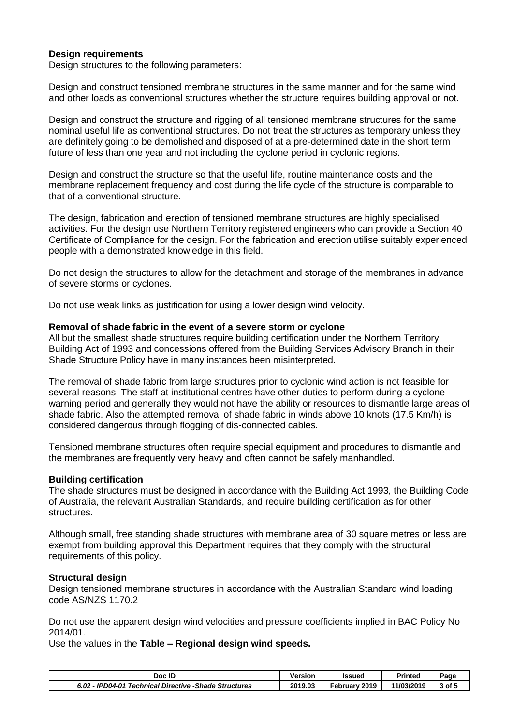### **Design requirements**

Design structures to the following parameters:

Design and construct tensioned membrane structures in the same manner and for the same wind and other loads as conventional structures whether the structure requires building approval or not.

Design and construct the structure and rigging of all tensioned membrane structures for the same nominal useful life as conventional structures. Do not treat the structures as temporary unless they are definitely going to be demolished and disposed of at a pre-determined date in the short term future of less than one year and not including the cyclone period in cyclonic regions.

Design and construct the structure so that the useful life, routine maintenance costs and the membrane replacement frequency and cost during the life cycle of the structure is comparable to that of a conventional structure.

The design, fabrication and erection of tensioned membrane structures are highly specialised activities. For the design use Northern Territory registered engineers who can provide a Section 40 Certificate of Compliance for the design. For the fabrication and erection utilise suitably experienced people with a demonstrated knowledge in this field.

Do not design the structures to allow for the detachment and storage of the membranes in advance of severe storms or cyclones.

Do not use weak links as justification for using a lower design wind velocity.

#### **Removal of shade fabric in the event of a severe storm or cyclone**

All but the smallest shade structures require building certification under the Northern Territory Building Act of 1993 and concessions offered from the Building Services Advisory Branch in their Shade Structure Policy have in many instances been misinterpreted.

The removal of shade fabric from large structures prior to cyclonic wind action is not feasible for several reasons. The staff at institutional centres have other duties to perform during a cyclone warning period and generally they would not have the ability or resources to dismantle large areas of shade fabric. Also the attempted removal of shade fabric in winds above 10 knots (17.5 Km/h) is considered dangerous through flogging of dis-connected cables.

Tensioned membrane structures often require special equipment and procedures to dismantle and the membranes are frequently very heavy and often cannot be safely manhandled.

#### **Building certification**

The shade structures must be designed in accordance with the Building Act 1993, the Building Code of Australia, the relevant Australian Standards, and require building certification as for other structures.

Although small, free standing shade structures with membrane area of 30 square metres or less are exempt from building approval this Department requires that they comply with the structural requirements of this policy.

#### **Structural design**

Design tensioned membrane structures in accordance with the Australian Standard wind loading code AS/NZS 1170.2

Do not use the apparent design wind velocities and pressure coefficients implied in BAC Policy No 2014/01.

Use the values in the **Table – Regional design wind speeds.**

| Doc ID                                                 | Versior | Issued           | <b>Printed</b> | Page |
|--------------------------------------------------------|---------|------------------|----------------|------|
| 6.02 - IPD04-01 Technical Directive - Shade Structures | 2019.03 | 2019<br>Februarv | 11/03/2019     |      |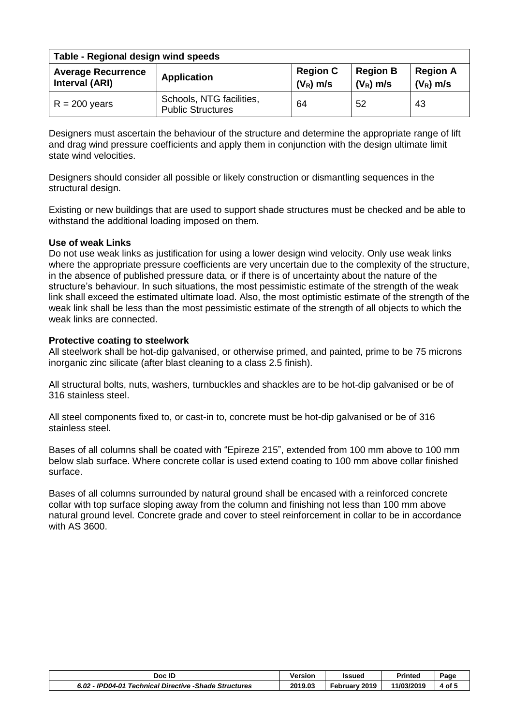| Table - Regional design wind speeds         |                                                      |                                                                  |    |                                |  |  |
|---------------------------------------------|------------------------------------------------------|------------------------------------------------------------------|----|--------------------------------|--|--|
| <b>Average Recurrence</b><br>Interval (ARI) | <b>Application</b>                                   | <b>Region B</b><br><b>Region C</b><br>$(V_R)$ m/s<br>$(V_R)$ m/s |    | <b>Region A</b><br>$(V_R)$ m/s |  |  |
| $R = 200$ years                             | Schools, NTG facilities,<br><b>Public Structures</b> | 64                                                               | 52 | 43                             |  |  |

Designers must ascertain the behaviour of the structure and determine the appropriate range of lift and drag wind pressure coefficients and apply them in conjunction with the design ultimate limit state wind velocities.

Designers should consider all possible or likely construction or dismantling sequences in the structural design.

Existing or new buildings that are used to support shade structures must be checked and be able to withstand the additional loading imposed on them.

# **Use of weak Links**

Do not use weak links as justification for using a lower design wind velocity. Only use weak links where the appropriate pressure coefficients are very uncertain due to the complexity of the structure, in the absence of published pressure data, or if there is of uncertainty about the nature of the structure's behaviour. In such situations, the most pessimistic estimate of the strength of the weak link shall exceed the estimated ultimate load. Also, the most optimistic estimate of the strength of the weak link shall be less than the most pessimistic estimate of the strength of all objects to which the weak links are connected.

### **Protective coating to steelwork**

All steelwork shall be hot-dip galvanised, or otherwise primed, and painted, prime to be 75 microns inorganic zinc silicate (after blast cleaning to a class 2.5 finish).

All structural bolts, nuts, washers, turnbuckles and shackles are to be hot-dip galvanised or be of 316 stainless steel.

All steel components fixed to, or cast-in to, concrete must be hot-dip galvanised or be of 316 stainless steel.

Bases of all columns shall be coated with "Epireze 215", extended from 100 mm above to 100 mm below slab surface. Where concrete collar is used extend coating to 100 mm above collar finished surface.

Bases of all columns surrounded by natural ground shall be encased with a reinforced concrete collar with top surface sloping away from the column and finishing not less than 100 mm above natural ground level. Concrete grade and cover to steel reinforcement in collar to be in accordance with AS 3600.

| Doc ID                                                | Version | Issued        | <b>Printed</b> | Page   |
|-------------------------------------------------------|---------|---------------|----------------|--------|
| 6.02 - IPD04-01 Technical Directive -Shade Structures | 2019.03 | February 2019 | 11/03/2019     | 4 of ! |